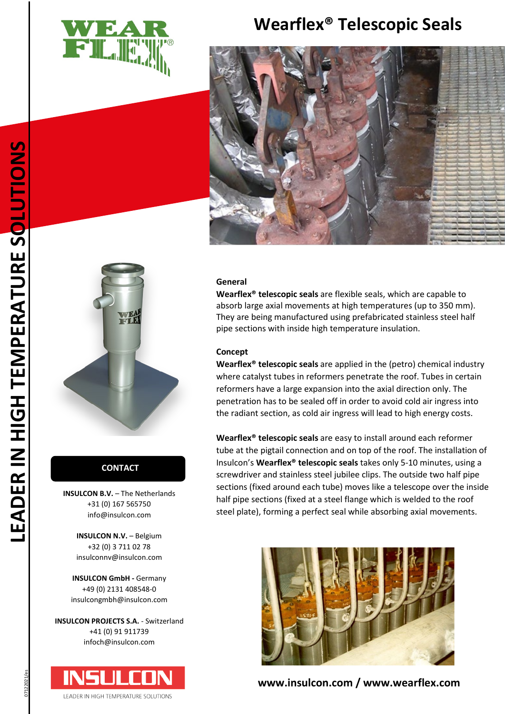

# **Wearflex® Telescopic Seals**





## **CONTACT CONTACT**

**INSULCON B.V.** - The Netherlands +31 (0) 167 565750 info@insulcon.com

> **INSULCON N.V. - Belgium** +32 (0) 3 711 02 78 insulconnv@insulcon.com

**INSULCON GmbH -** Germany +49 (0) 2131 408548-0 insulcongmbh@insulcon.com

**INSULCON PROJECTS S.A.** - Switzerland +41 (0) 91 911739 infoch@insulcon.com



### **General**

**Wearflex® telescopic seals** are flexible seals, which are capable to absorb large axial movements at high temperatures (up to 350 mm). They are being manufactured using prefabricated stainless steel half pipe sections with inside high temperature insulation.

#### **Concept**

**Wearflex® telescopic seals** are applied in the (petro) chemical industry where catalyst tubes in reformers penetrate the roof. Tubes in certain reformers have a large expansion into the axial direction only. The penetration has to be sealed off in order to avoid cold air ingress into the radiant section, as cold air ingress will lead to high energy costs.

**Wearflex® telescopic seals** are easy to install around each reformer tube at the pigtail connection and on top of the roof. The installation of Insulcon's **Wearflex® telescopic seals** takes only 5-10 minutes, using a screwdriver and stainless steel jubilee clips. The outside two half pipe sections (fixed around each tube) moves like a telescope over the inside half pipe sections (fixed at a steel flange which is welded to the roof steel plate), forming a perfect seal while absorbing axial movements.



**[www.insulcon.com](http://www.insulcon.com/) / www.wearflex.com**